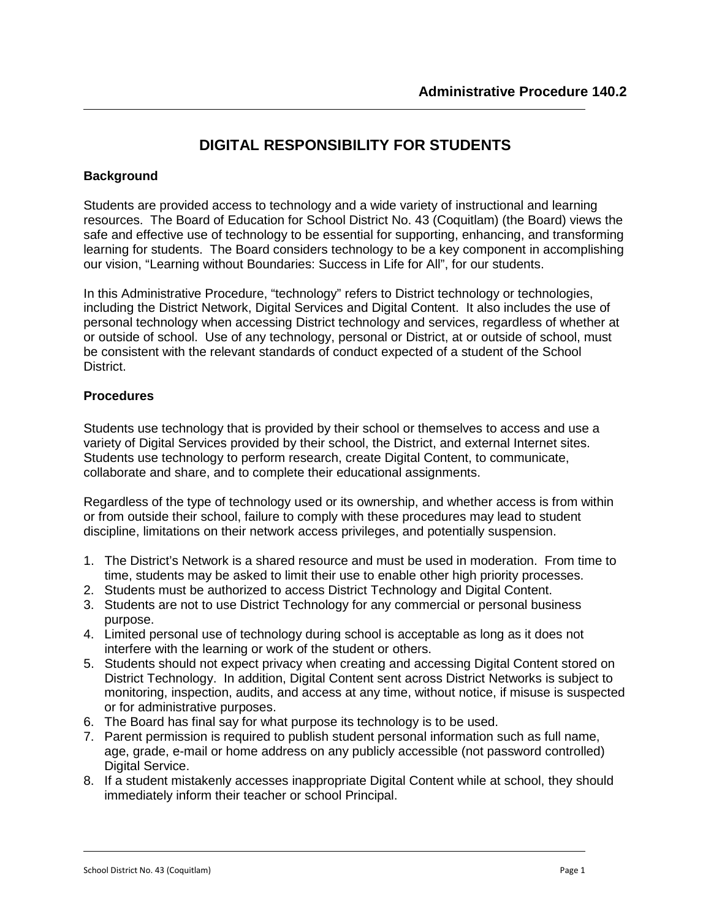# **DIGITAL RESPONSIBILITY FOR STUDENTS**

#### **Background**

Students are provided access to technology and a wide variety of instructional and learning resources. The Board of Education for School District No. 43 (Coquitlam) (the Board) views the safe and effective use of technology to be essential for supporting, enhancing, and transforming learning for students. The Board considers technology to be a key component in accomplishing our vision, "Learning without Boundaries: Success in Life for All", for our students.

In this Administrative Procedure, "technology" refers to District technology or technologies, including the District Network, Digital Services and Digital Content. It also includes the use of personal technology when accessing District technology and services, regardless of whether at or outside of school. Use of any technology, personal or District, at or outside of school, must be consistent with the relevant standards of conduct expected of a student of the School District.

#### **Procedures**

Students use technology that is provided by their school or themselves to access and use a variety of Digital Services provided by their school, the District, and external Internet sites. Students use technology to perform research, create Digital Content, to communicate, collaborate and share, and to complete their educational assignments.

Regardless of the type of technology used or its ownership, and whether access is from within or from outside their school, failure to comply with these procedures may lead to student discipline, limitations on their network access privileges, and potentially suspension.

- 1. The District's Network is a shared resource and must be used in moderation. From time to time, students may be asked to limit their use to enable other high priority processes.
- 2. Students must be authorized to access District Technology and Digital Content.
- 3. Students are not to use District Technology for any commercial or personal business purpose.
- 4. Limited personal use of technology during school is acceptable as long as it does not interfere with the learning or work of the student or others.
- 5. Students should not expect privacy when creating and accessing Digital Content stored on District Technology. In addition, Digital Content sent across District Networks is subject to monitoring, inspection, audits, and access at any time, without notice, if misuse is suspected or for administrative purposes.
- 6. The Board has final say for what purpose its technology is to be used.
- 7. Parent permission is required to publish student personal information such as full name, age, grade, e-mail or home address on any publicly accessible (not password controlled) Digital Service.
- 8. If a student mistakenly accesses inappropriate Digital Content while at school, they should immediately inform their teacher or school Principal.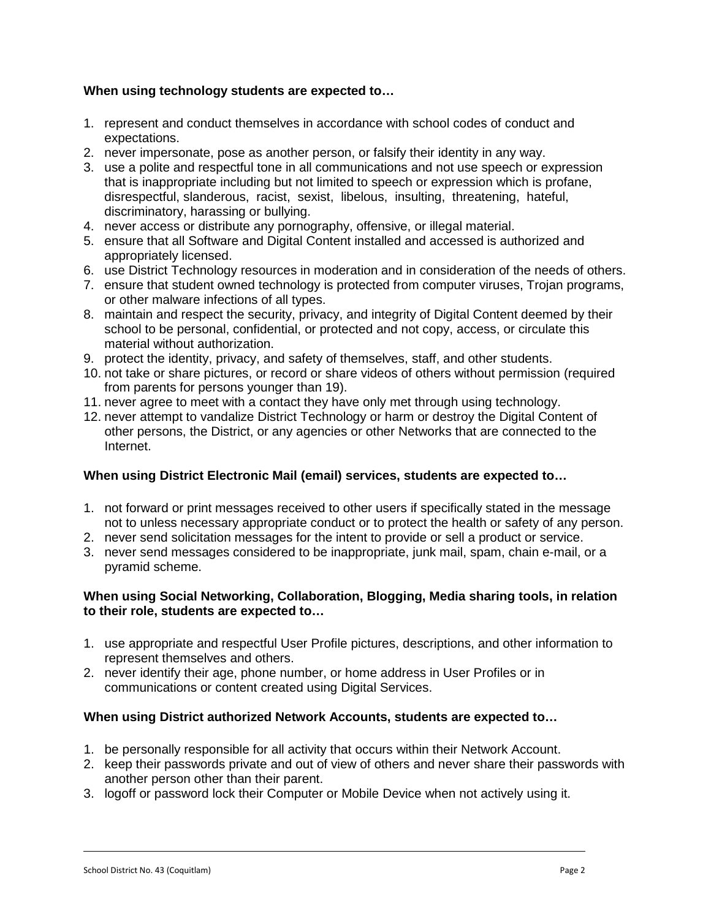# **When using technology students are expected to…**

- 1. represent and conduct themselves in accordance with school codes of conduct and expectations.
- 2. never impersonate, pose as another person, or falsify their identity in any way.
- 3. use a polite and respectful tone in all communications and not use speech or expression that is inappropriate including but not limited to speech or expression which is profane, disrespectful, slanderous, racist, sexist, libelous, insulting, threatening, hateful, discriminatory, harassing or bullying.
- 4. never access or distribute any pornography, offensive, or illegal material.
- 5. ensure that all Software and Digital Content installed and accessed is authorized and appropriately licensed.
- 6. use District Technology resources in moderation and in consideration of the needs of others.
- 7. ensure that student owned technology is protected from computer viruses, Trojan programs, or other malware infections of all types.
- 8. maintain and respect the security, privacy, and integrity of Digital Content deemed by their school to be personal, confidential, or protected and not copy, access, or circulate this material without authorization.
- 9. protect the identity, privacy, and safety of themselves, staff, and other students.
- 10. not take or share pictures, or record or share videos of others without permission (required from parents for persons younger than 19).
- 11. never agree to meet with a contact they have only met through using technology.
- 12. never attempt to vandalize District Technology or harm or destroy the Digital Content of other persons, the District, or any agencies or other Networks that are connected to the Internet.

## **When using District Electronic Mail (email) services, students are expected to…**

- 1. not forward or print messages received to other users if specifically stated in the message not to unless necessary appropriate conduct or to protect the health or safety of any person.
- 2. never send solicitation messages for the intent to provide or sell a product or service.
- 3. never send messages considered to be inappropriate, junk mail, spam, chain e-mail, or a pyramid scheme.

## **When using Social Networking, Collaboration, Blogging, Media sharing tools, in relation to their role, students are expected to…**

- 1. use appropriate and respectful User Profile pictures, descriptions, and other information to represent themselves and others.
- 2. never identify their age, phone number, or home address in User Profiles or in communications or content created using Digital Services.

## **When using District authorized Network Accounts, students are expected to…**

- 1. be personally responsible for all activity that occurs within their Network Account.
- 2. keep their passwords private and out of view of others and never share their passwords with another person other than their parent.
- 3. logoff or password lock their Computer or Mobile Device when not actively using it.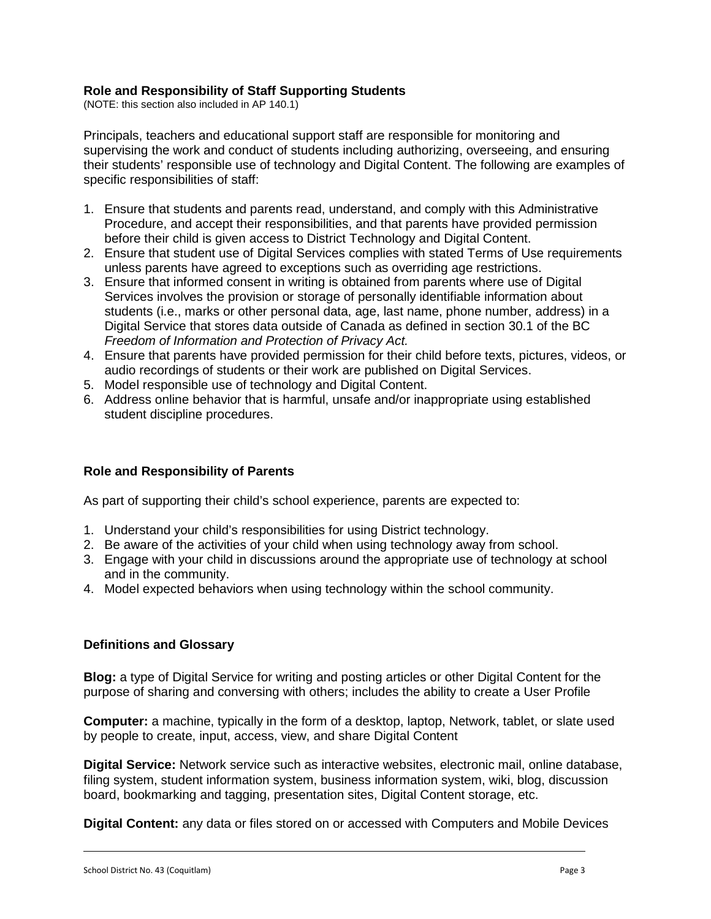# **Role and Responsibility of Staff Supporting Students**

(NOTE: this section also included in AP 140.1)

Principals, teachers and educational support staff are responsible for monitoring and supervising the work and conduct of students including authorizing, overseeing, and ensuring their students' responsible use of technology and Digital Content. The following are examples of specific responsibilities of staff:

- 1. Ensure that students and parents read, understand, and comply with this Administrative Procedure, and accept their responsibilities, and that parents have provided permission before their child is given access to District Technology and Digital Content.
- 2. Ensure that student use of Digital Services complies with stated Terms of Use requirements unless parents have agreed to exceptions such as overriding age restrictions.
- 3. Ensure that informed consent in writing is obtained from parents where use of Digital Services involves the provision or storage of personally identifiable information about students (i.e., marks or other personal data, age, last name, phone number, address) in a Digital Service that stores data outside of Canada as defined in section 30.1 of the BC *Freedom of Information and Protection of Privacy Act.*
- 4. Ensure that parents have provided permission for their child before texts, pictures, videos, or audio recordings of students or their work are published on Digital Services.
- 5. Model responsible use of technology and Digital Content.
- 6. Address online behavior that is harmful, unsafe and/or inappropriate using established student discipline procedures.

## **Role and Responsibility of Parents**

As part of supporting their child's school experience, parents are expected to:

- 1. Understand your child's responsibilities for using District technology.
- 2. Be aware of the activities of your child when using technology away from school.
- 3. Engage with your child in discussions around the appropriate use of technology at school and in the community.
- 4. Model expected behaviors when using technology within the school community.

## **Definitions and Glossary**

**Blog:** a type of Digital Service for writing and posting articles or other Digital Content for the purpose of sharing and conversing with others; includes the ability to create a User Profile

**Computer:** a machine, typically in the form of a desktop, laptop, Network, tablet, or slate used by people to create, input, access, view, and share Digital Content

**Digital Service:** Network service such as interactive websites, electronic mail, online database, filing system, student information system, business information system, wiki, blog, discussion board, bookmarking and tagging, presentation sites, Digital Content storage, etc.

**Digital Content:** any data or files stored on or accessed with Computers and Mobile Devices